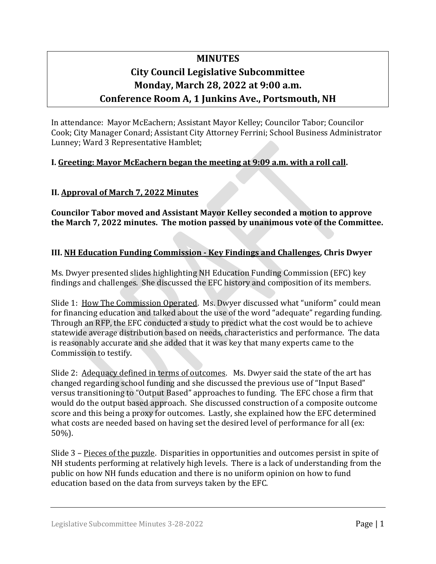# **MINUTES City Council Legislative Subcommittee Monday, March 28, 2022 at 9:00 a.m. Conference Room A, 1 Junkins Ave., Portsmouth, NH**

In attendance: Mayor McEachern; Assistant Mayor Kelley; Councilor Tabor; Councilor Cook; City Manager Conard; Assistant City Attorney Ferrini; School Business Administrator Lunney; Ward 3 Representative Hamblet;

## **I. Greeting: Mayor McEachern began the meeting at 9:09 a.m. with a roll call.**

#### **II. Approval of March 7, 2022 Minutes**

**Councilor Tabor moved and Assistant Mayor Kelley seconded a motion to approve the March 7, 2022 minutes. The motion passed by unanimous vote of the Committee.** 

#### **III. NH Education Funding Commission - Key Findings and Challenges, Chris Dwyer**

Ms. Dwyer presented slides highlighting NH Education Funding Commission (EFC) key findings and challenges. She discussed the EFC history and composition of its members.

Slide 1: How The Commission Operated. Ms. Dwyer discussed what "uniform" could mean for financing education and talked about the use of the word "adequate" regarding funding. Through an RFP, the EFC conducted a study to predict what the cost would be to achieve statewide average distribution based on needs, characteristics and performance. The data is reasonably accurate and she added that it was key that many experts came to the Commission to testify.

Slide 2: Adequacy defined in terms of outcomes. Ms. Dwyer said the state of the art has changed regarding school funding and she discussed the previous use of "Input Based" versus transitioning to "Output Based" approaches to funding. The EFC chose a firm that would do the output based approach. She discussed construction of a composite outcome score and this being a proxy for outcomes. Lastly, she explained how the EFC determined what costs are needed based on having set the desired level of performance for all (ex: 50%).

Slide 3 – Pieces of the puzzle. Disparities in opportunities and outcomes persist in spite of NH students performing at relatively high levels. There is a lack of understanding from the public on how NH funds education and there is no uniform opinion on how to fund education based on the data from surveys taken by the EFC.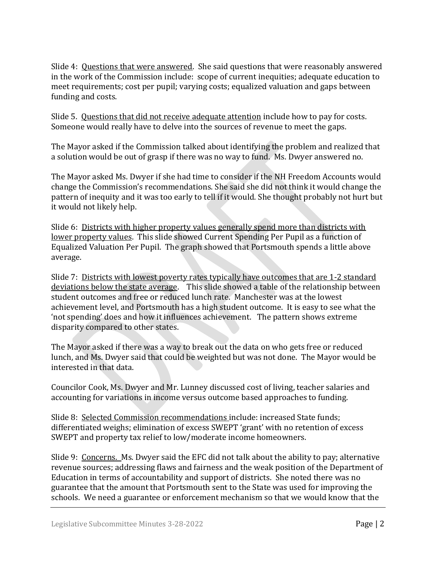Slide 4: Questions that were answered. She said questions that were reasonably answered in the work of the Commission include: scope of current inequities; adequate education to meet requirements; cost per pupil; varying costs; equalized valuation and gaps between funding and costs.

Slide 5. Questions that did not receive adequate attention include how to pay for costs. Someone would really have to delve into the sources of revenue to meet the gaps.

The Mayor asked if the Commission talked about identifying the problem and realized that a solution would be out of grasp if there was no way to fund. Ms. Dwyer answered no.

The Mayor asked Ms. Dwyer if she had time to consider if the NH Freedom Accounts would change the Commission's recommendations. She said she did not think it would change the pattern of inequity and it was too early to tell if it would. She thought probably not hurt but it would not likely help.

Slide 6: Districts with higher property values generally spend more than districts with lower property values. This slide showed Current Spending Per Pupil as a function of Equalized Valuation Per Pupil. The graph showed that Portsmouth spends a little above average.

Slide 7: Districts with lowest poverty rates typically have outcomes that are 1-2 standard deviations below the state average. This slide showed a table of the relationship between student outcomes and free or reduced lunch rate. Manchester was at the lowest achievement level, and Portsmouth has a high student outcome. It is easy to see what the 'not spending' does and how it influences achievement. The pattern shows extreme disparity compared to other states.

The Mayor asked if there was a way to break out the data on who gets free or reduced lunch, and Ms. Dwyer said that could be weighted but was not done. The Mayor would be interested in that data.

Councilor Cook, Ms. Dwyer and Mr. Lunney discussed cost of living, teacher salaries and accounting for variations in income versus outcome based approaches to funding.

Slide 8: Selected Commission recommendations include: increased State funds; differentiated weighs; elimination of excess SWEPT 'grant' with no retention of excess SWEPT and property tax relief to low/moderate income homeowners.

Slide 9: Concerns. Ms. Dwyer said the EFC did not talk about the ability to pay; alternative revenue sources; addressing flaws and fairness and the weak position of the Department of Education in terms of accountability and support of districts. She noted there was no guarantee that the amount that Portsmouth sent to the State was used for improving the schools. We need a guarantee or enforcement mechanism so that we would know that the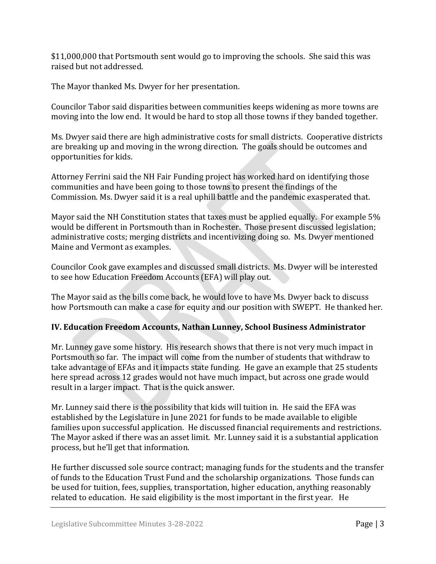\$11,000,000 that Portsmouth sent would go to improving the schools. She said this was raised but not addressed.

The Mayor thanked Ms. Dwyer for her presentation.

Councilor Tabor said disparities between communities keeps widening as more towns are moving into the low end. It would be hard to stop all those towns if they banded together.

Ms. Dwyer said there are high administrative costs for small districts. Cooperative districts are breaking up and moving in the wrong direction. The goals should be outcomes and opportunities for kids.

Attorney Ferrini said the NH Fair Funding project has worked hard on identifying those communities and have been going to those towns to present the findings of the Commission. Ms. Dwyer said it is a real uphill battle and the pandemic exasperated that.

Mayor said the NH Constitution states that taxes must be applied equally. For example 5% would be different in Portsmouth than in Rochester. Those present discussed legislation; administrative costs; merging districts and incentivizing doing so. Ms. Dwyer mentioned Maine and Vermont as examples.

Councilor Cook gave examples and discussed small districts. Ms. Dwyer will be interested to see how Education Freedom Accounts (EFA) will play out.

The Mayor said as the bills come back, he would love to have Ms. Dwyer back to discuss how Portsmouth can make a case for equity and our position with SWEPT. He thanked her.

## **IV. Education Freedom Accounts, Nathan Lunney, School Business Administrator**

Mr. Lunney gave some history. His research shows that there is not very much impact in Portsmouth so far. The impact will come from the number of students that withdraw to take advantage of EFAs and it impacts state funding. He gave an example that 25 students here spread across 12 grades would not have much impact, but across one grade would result in a larger impact. That is the quick answer.

Mr. Lunney said there is the possibility that kids will tuition in. He said the EFA was established by the Legislature in June 2021 for funds to be made available to eligible families upon successful application. He discussed financial requirements and restrictions. The Mayor asked if there was an asset limit. Mr. Lunney said it is a substantial application process, but he'll get that information.

He further discussed sole source contract; managing funds for the students and the transfer of funds to the Education Trust Fund and the scholarship organizations. Those funds can be used for tuition, fees, supplies, transportation, higher education, anything reasonably related to education. He said eligibility is the most important in the first year. He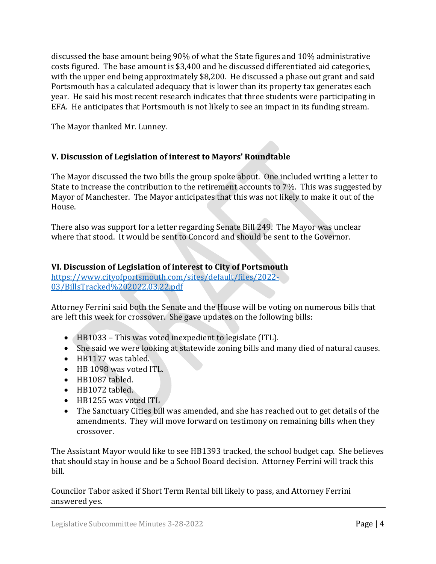discussed the base amount being 90% of what the State figures and 10% administrative costs figured. The base amount is \$3,400 and he discussed differentiated aid categories, with the upper end being approximately \$8,200. He discussed a phase out grant and said Portsmouth has a calculated adequacy that is lower than its property tax generates each year. He said his most recent research indicates that three students were participating in EFA. He anticipates that Portsmouth is not likely to see an impact in its funding stream.

The Mayor thanked Mr. Lunney.

## **V. Discussion of Legislation of interest to Mayors' Roundtable**

The Mayor discussed the two bills the group spoke about. One included writing a letter to State to increase the contribution to the retirement accounts to 7%. This was suggested by Mayor of Manchester. The Mayor anticipates that this was not likely to make it out of the House.

There also was support for a letter regarding Senate Bill 249. The Mayor was unclear where that stood. It would be sent to Concord and should be sent to the Governor.

## **VI. Discussion of Legislation of interest to City of Portsmouth**

[https://www.cityofportsmouth.com/sites/default/files/2022-](https://www.cityofportsmouth.com/sites/default/files/2022-03/BillsTracked%202022.03.22.pdf) [03/BillsTracked%202022.03.22.pdf](https://www.cityofportsmouth.com/sites/default/files/2022-03/BillsTracked%202022.03.22.pdf)

Attorney Ferrini said both the Senate and the House will be voting on numerous bills that are left this week for crossover. She gave updates on the following bills:

- HB1033 This was voted inexpedient to legislate (ITL).
- She said we were looking at statewide zoning bills and many died of natural causes.
- HB1177 was tabled.
- HB 1098 was voted ITL.
- HB1087 tabled.
- $\bullet$  HB1072 tabled.
- HB1255 was voted ITL
- The Sanctuary Cities bill was amended, and she has reached out to get details of the amendments. They will move forward on testimony on remaining bills when they crossover.

The Assistant Mayor would like to see HB1393 tracked, the school budget cap. She believes that should stay in house and be a School Board decision. Attorney Ferrini will track this bill.

Councilor Tabor asked if Short Term Rental bill likely to pass, and Attorney Ferrini answered yes.